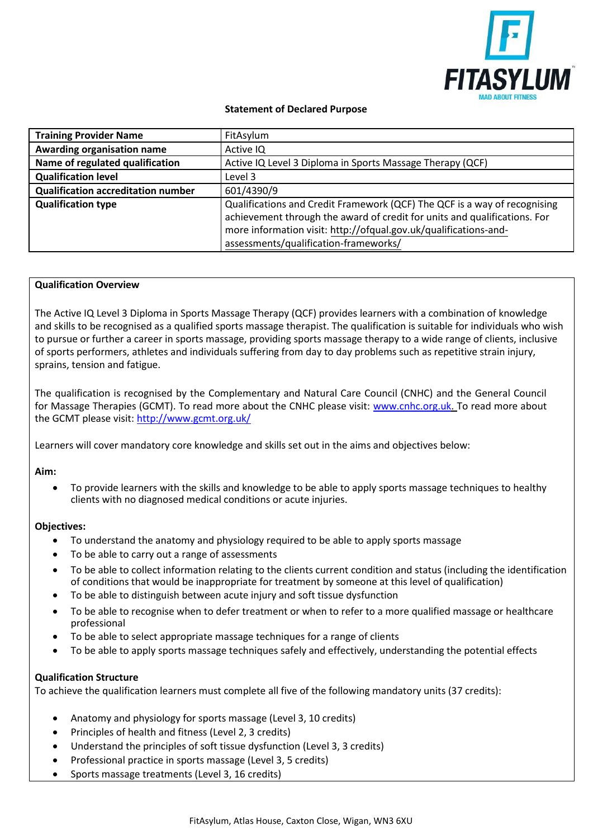

# **Statement of Declared Purpose**

| <b>Training Provider Name</b>             | FitAsylum                                                                                                                                                                                                                                                           |
|-------------------------------------------|---------------------------------------------------------------------------------------------------------------------------------------------------------------------------------------------------------------------------------------------------------------------|
| Awarding organisation name                | Active IQ                                                                                                                                                                                                                                                           |
| Name of regulated qualification           | Active IQ Level 3 Diploma in Sports Massage Therapy (QCF)                                                                                                                                                                                                           |
| <b>Qualification level</b>                | Level 3                                                                                                                                                                                                                                                             |
| <b>Qualification accreditation number</b> | 601/4390/9                                                                                                                                                                                                                                                          |
| <b>Qualification type</b>                 | Qualifications and Credit Framework (QCF) The QCF is a way of recognising<br>achievement through the award of credit for units and qualifications. For<br>more information visit: http://ofqual.gov.uk/qualifications-and-<br>assessments/qualification-frameworks/ |

#### **Qualification Overview**

The Active IQ Level 3 Diploma in Sports Massage Therapy (QCF) provides learners with a combination of knowledge and skills to be recognised as a qualified sports massage therapist. The qualification is suitable for individuals who wish to pursue or further a career in sports massage, providing sports massage therapy to a wide range of clients, inclusive of sports performers, athletes and individuals suffering from day to day problems such as repetitive strain injury, sprains, tension and fatigue.

The qualification is recognised by the Complementary and Natural Care Council (CNHC) and the General Council for Massage Therapies (GCMT). To read more about the CNHC please visit: [www.cnhc.org.uk. T](http://www.cnhc.org.uk/)o read more about the GCMT please visit:<http://www.gcmt.org.uk/>

Learners will cover mandatory core knowledge and skills set out in the aims and objectives below:

## **Aim:**

• To provide learners with the skills and knowledge to be able to apply sports massage techniques to healthy clients with no diagnosed medical conditions or acute injuries.

#### **Objectives:**

- To understand the anatomy and physiology required to be able to apply sports massage
- To be able to carry out a range of assessments
- To be able to collect information relating to the clients current condition and status (including the identification of conditions that would be inappropriate for treatment by someone at this level of qualification)
- To be able to distinguish between acute injury and soft tissue dysfunction
- To be able to recognise when to defer treatment or when to refer to a more qualified massage or healthcare professional
- To be able to select appropriate massage techniques for a range of clients
- To be able to apply sports massage techniques safely and effectively, understanding the potential effects

## **Qualification Structure**

To achieve the qualification learners must complete all five of the following mandatory units (37 credits):

- Anatomy and physiology for sports massage (Level 3, 10 credits)
- Principles of health and fitness (Level 2, 3 credits)
- Understand the principles of soft tissue dysfunction (Level 3, 3 credits)
- Professional practice in sports massage (Level 3, 5 credits)
- Sports massage treatments (Level 3, 16 credits)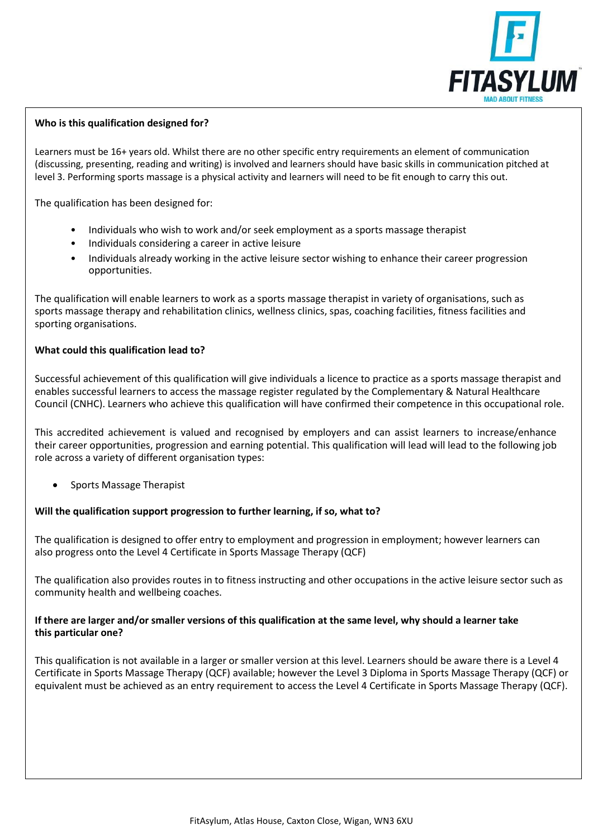

# **Who is this qualification designed for?**

Learners must be 16+ years old. Whilst there are no other specific entry requirements an element of communication (discussing, presenting, reading and writing) is involved and learners should have basic skills in communication pitched at level 3. Performing sports massage is a physical activity and learners will need to be fit enough to carry this out.

The qualification has been designed for:

- Individuals who wish to work and/or seek employment as a sports massage therapist
- Individuals considering a career in active leisure
- Individuals already working in the active leisure sector wishing to enhance their career progression opportunities.

The qualification will enable learners to work as a sports massage therapist in variety of organisations, such as sports massage therapy and rehabilitation clinics, wellness clinics, spas, coaching facilities, fitness facilities and sporting organisations.

## **What could this qualification lead to?**

Successful achievement of this qualification will give individuals a licence to practice as a sports massage therapist and enables successful learners to access the massage register regulated by the Complementary & Natural Healthcare Council (CNHC). Learners who achieve this qualification will have confirmed their competence in this occupational role.

This accredited achievement is valued and recognised by employers and can assist learners to increase/enhance their career opportunities, progression and earning potential. This qualification will lead will lead to the following job role across a variety of different organisation types:

• Sports Massage Therapist

## **Will the qualification support progression to further learning, if so, what to?**

The qualification is designed to offer entry to employment and progression in employment; however learners can also progress onto the Level 4 Certificate in Sports Massage Therapy (QCF)

The qualification also provides routes in to fitness instructing and other occupations in the active leisure sector such as community health and wellbeing coaches.

## **If there are larger and/or smaller versions of this qualification at the same level, why should a learner take this particular one?**

This qualification is not available in a larger or smaller version at this level. Learners should be aware there is a Level 4 Certificate in Sports Massage Therapy (QCF) available; however the Level 3 Diploma in Sports Massage Therapy (QCF) or equivalent must be achieved as an entry requirement to access the Level 4 Certificate in Sports Massage Therapy (QCF).